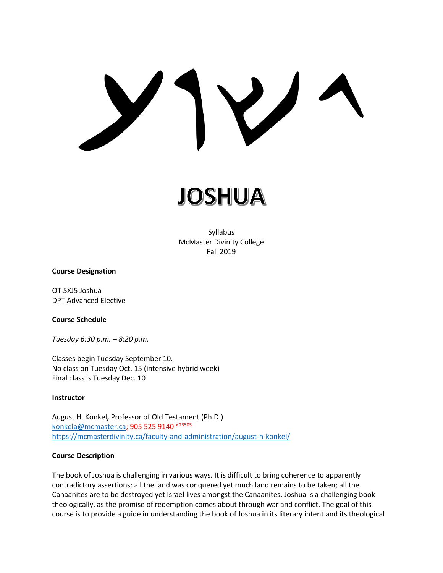# $\bigvee$

JOSHUA

Syllabus McMaster Divinity College Fall 2019

#### **Course Designation**

OT 5XJ5 Joshua DPT Advanced Elective

#### **Course Schedule**

*Tuesday 6:30 p.m. – 8:20 p.m.*

Classes begin Tuesday September 10. No class on Tuesday Oct. 15 (intensive hybrid week) Final class is Tuesday Dec. 10

#### **Instructor**

August H. Konkel**,** Professor of Old Testament (Ph.D.) [konkela@mcmaster.ca;](mailto:konkela@mcmaster.ca) 905 525 9140 x 23505 <https://mcmasterdivinity.ca/faculty-and-administration/august-h-konkel/>

#### **Course Description**

The book of Joshua is challenging in various ways. It is difficult to bring coherence to apparently contradictory assertions: all the land was conquered yet much land remains to be taken; all the Canaanites are to be destroyed yet Israel lives amongst the Canaanites. Joshua is a challenging book theologically, as the promise of redemption comes about through war and conflict. The goal of this course is to provide a guide in understanding the book of Joshua in its literary intent and its theological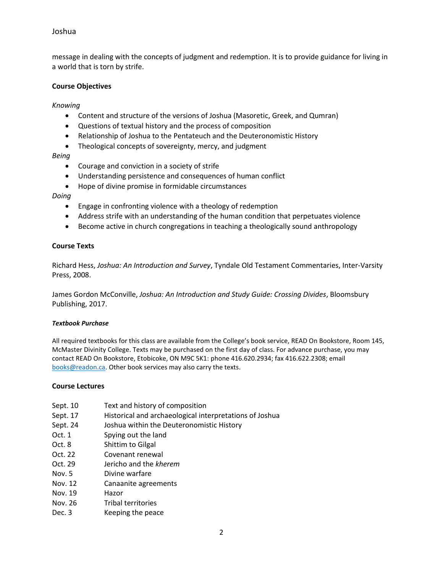# Joshua

message in dealing with the concepts of judgment and redemption. It is to provide guidance for living in a world that is torn by strife.

#### **Course Objectives**

*Knowing*

- Content and structure of the versions of Joshua (Masoretic, Greek, and Qumran)
- Questions of textual history and the process of composition
- Relationship of Joshua to the Pentateuch and the Deuteronomistic History
- Theological concepts of sovereignty, mercy, and judgment

#### *Being*

- Courage and conviction in a society of strife
- Understanding persistence and consequences of human conflict
- Hope of divine promise in formidable circumstances

#### *Doing*

- Engage in confronting violence with a theology of redemption
- Address strife with an understanding of the human condition that perpetuates violence
- Become active in church congregations in teaching a theologically sound anthropology

#### **Course Texts**

Richard Hess, *Joshua: An Introduction and Survey*, Tyndale Old Testament Commentaries, Inter-Varsity Press, 2008.

James Gordon McConville, *Joshua: An Introduction and Study Guide: Crossing Divides*, Bloomsbury Publishing, 2017.

#### *Textbook Purchase*

All required textbooks for this class are available from the College's book service, READ On Bookstore, Room 145, McMaster Divinity College. Texts may be purchased on the first day of class. For advance purchase, you may contact READ On Bookstore, Etobicoke, ON M9C 5K1: phone 416.620.2934; fax 416.622.2308; email [books@readon.ca.](mailto:books@readon.ca) Other book services may also carry the texts.

#### **Course Lectures**

- Sept. 10 Text and history of composition
- Sept. 17 Historical and archaeological interpretations of Joshua
- Sept. 24 Joshua within the Deuteronomistic History
- Oct. 1 Spying out the land
- Oct. 8 Shittim to Gilgal
- Oct. 22 Covenant renewal
- Oct. 29 Jericho and the *kherem*
- Nov. 5 Divine warfare
- Nov. 12 Canaanite agreements
- Nov. 19 Hazor
- Nov. 26 Tribal territories
- Dec. 3 Keeping the peace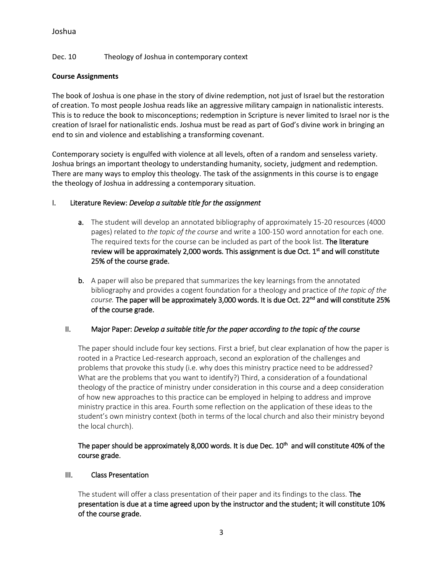# Joshua

# Dec. 10 Theology of Joshua in contemporary context

## **Course Assignments**

The book of Joshua is one phase in the story of divine redemption, not just of Israel but the restoration of creation. To most people Joshua reads like an aggressive military campaign in nationalistic interests. This is to reduce the book to misconceptions; redemption in Scripture is never limited to Israel nor is the creation of Israel for nationalistic ends. Joshua must be read as part of God's divine work in bringing an end to sin and violence and establishing a transforming covenant.

Contemporary society is engulfed with violence at all levels, often of a random and senseless variety. Joshua brings an important theology to understanding humanity, society, judgment and redemption. There are many ways to employ this theology. The task of the assignments in this course is to engage the theology of Joshua in addressing a contemporary situation.

## I. Literature Review: *Develop a suitable title for the assignment*

- a. The student will develop an annotated bibliography of approximately 15-20 resources (4000 pages) related to *the topic of the course* and write a 100-150 word annotation for each one. The required texts for the course can be included as part of the book list. The literature review will be approximately 2,000 words. This assignment is due Oct. 1<sup>st</sup> and will constitute 25% of the course grade.
- b. A paper will also be prepared that summarizes the key learnings from the annotated bibliography and provides a cogent foundation for a theology and practice of *the topic of the course.* The paper will be approximately 3,000 words. It is due Oct. 22nd and will constitute 25% of the course grade.

#### II. Major Paper: *Develop a suitable title for the paper according to the topic of the course*

The paper should include four key sections. First a brief, but clear explanation of how the paper is rooted in a Practice Led-research approach, second an exploration of the challenges and problems that provoke this study (i.e. why does this ministry practice need to be addressed? What are the problems that you want to identify?) Third, a consideration of a foundational theology of the practice of ministry under consideration in this course and a deep consideration of how new approaches to this practice can be employed in helping to address and improve ministry practice in this area. Fourth some reflection on the application of these ideas to the student's own ministry context (both in terms of the local church and also their ministry beyond the local church).

# The paper should be approximately 8,000 words. It is due Dec.  $10^{\text{th}}$  and will constitute 40% of the course grade.

#### III. Class Presentation

The student will offer a class presentation of their paper and its findings to the class. The presentation is due at a time agreed upon by the instructor and the student; it will constitute 10% of the course grade.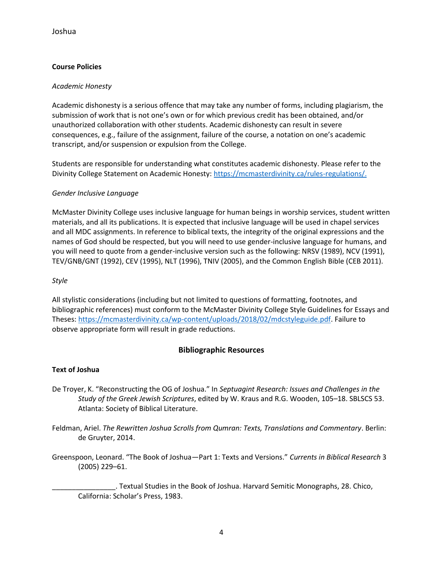# **Course Policies**

#### *Academic Honesty*

Academic dishonesty is a serious offence that may take any number of forms, including plagiarism, the submission of work that is not one's own or for which previous credit has been obtained, and/or unauthorized collaboration with other students. Academic dishonesty can result in severe consequences, e.g., failure of the assignment, failure of the course, a notation on one's academic transcript, and/or suspension or expulsion from the College.

Students are responsible for understanding what constitutes academic dishonesty. Please refer to the Divinity College Statement on Academic Honesty: [https://mcmasterdivinity.ca/rules-regulations/.](https://mcmasterdivinity.ca/rules-regulations/)

## *Gender Inclusive Language*

McMaster Divinity College uses inclusive language for human beings in worship services, student written materials, and all its publications. It is expected that inclusive language will be used in chapel services and all MDC assignments. In reference to biblical texts, the integrity of the original expressions and the names of God should be respected, but you will need to use gender-inclusive language for humans, and you will need to quote from a gender-inclusive version such as the following: NRSV (1989), NCV (1991), TEV/GNB/GNT (1992), CEV (1995), NLT (1996), TNIV (2005), and the Common English Bible (CEB 2011).

#### *Style*

All stylistic considerations (including but not limited to questions of formatting, footnotes, and bibliographic references) must conform to the McMaster Divinity College Style Guidelines for Essays and Theses: [https://mcmasterdivinity.ca/wp-content/uploads/2018/02/mdcstyleguide.pdf.](https://mcmasterdivinity.ca/wp-content/uploads/2018/02/mdcstyleguide.pdf) Failure to observe appropriate form will result in grade reductions.

# **Bibliographic Resources**

#### **Text of Joshua**

- De Troyer, K. "Reconstructing the OG of Joshua." In *Septuagint Research: Issues and Challenges in the Study of the Greek Jewish Scriptures*, edited by W. Kraus and R.G. Wooden, 105–18. SBLSCS 53. Atlanta: Society of Biblical Literature.
- Feldman, Ariel. *The Rewritten Joshua Scrolls from Qumran: Texts, Translations and Commentary*. Berlin: de Gruyter, 2014.
- Greenspoon, Leonard. "The Book of Joshua—Part 1: Texts and Versions." *Currents in Biblical Research* 3 (2005) 229–61.

\_\_\_\_\_\_\_\_\_\_\_\_\_\_\_\_. Textual Studies in the Book of Joshua. Harvard Semitic Monographs, 28. Chico, California: Scholar's Press, 1983.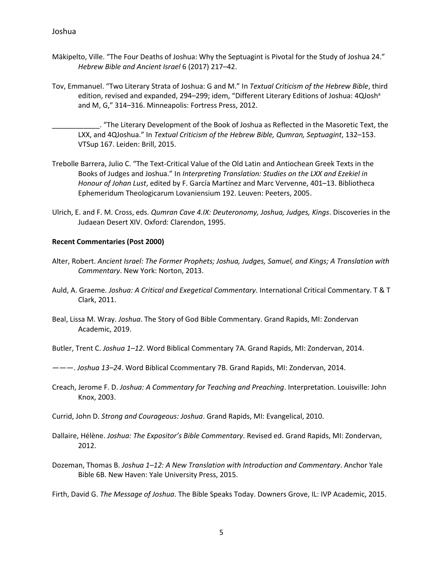- Mäkipelto, Ville. "The Four Deaths of Joshua: Why the Septuagint is Pivotal for the Study of Joshua 24." *Hebrew Bible and Ancient Israel* 6 (2017) 217–42.
- Tov, Emmanuel. "Two Literary Strata of Joshua: G and M." In *Textual Criticism of the Hebrew Bible*, third edition, revised and expanded, 294–299; idem, "Different Literary Editions of Joshua: 4QJosh<sup>a</sup> and M, G," 314–316. Minneapolis: Fortress Press, 2012.

\_\_\_\_\_\_\_\_\_\_\_\_. "The Literary Development of the Book of Joshua as Reflected in the Masoretic Text, the LXX, and 4QJoshua." In *Textual Criticism of the Hebrew Bible, Qumran, Septuagint*, 132–153. VTSup 167. Leiden: Brill, 2015.

- Trebolle Barrera, Julio C. "The Text-Critical Value of the Old Latin and Antiochean Greek Texts in the Books of Judges and Joshua." In *Interpreting Translation: Studies on the LXX and Ezekiel in Honour of Johan Lust*, edited by F. García Martínez and Marc Vervenne, 401–13. Bibliotheca Ephemeridum Theologicarum Lovaniensium 192. Leuven: Peeters, 2005.
- Ulrich, E. and F. M. Cross, eds. *Qumran Cave 4.IX: Deuteronomy, Joshua, Judges, Kings*. Discoveries in the Judaean Desert XIV. Oxford: Clarendon, 1995.

#### **Recent Commentaries (Post 2000)**

- Alter, Robert. *Ancient Israel: The Former Prophets; Joshua, Judges, Samuel, and Kings; A Translation with Commentary*. New York: Norton, 2013.
- Auld, A. Graeme. *Joshua: A Critical and Exegetical Commentary*. International Critical Commentary. T & T Clark, 2011.
- Beal, Lissa M. Wray. *Joshua*. The Story of God Bible Commentary. Grand Rapids, MI: Zondervan Academic, 2019.
- Butler, Trent C. *Joshua 1–12*. Word Biblical Commentary 7A. Grand Rapids, MI: Zondervan, 2014.
- ———. *Joshua 13–24*. Word Biblical Ccommentary 7B. Grand Rapids, MI: Zondervan, 2014.
- Creach, Jerome F. D. *Joshua: A Commentary for Teaching and Preaching*. Interpretation. Louisville: John Knox, 2003.
- Currid, John D. *Strong and Courageous: Joshua*. Grand Rapids, MI: Evangelical, 2010.
- Dallaire, Hélène. *Joshua: The Expositor's Bible Commentary*. Revised ed. Grand Rapids, MI: Zondervan, 2012.
- Dozeman, Thomas B. *Joshua 1–12: A New Translation with Introduction and Commentary*. Anchor Yale Bible 6B. New Haven: Yale University Press, 2015.

Firth, David G. *The Message of Joshua*. The Bible Speaks Today. Downers Grove, IL: IVP Academic, 2015.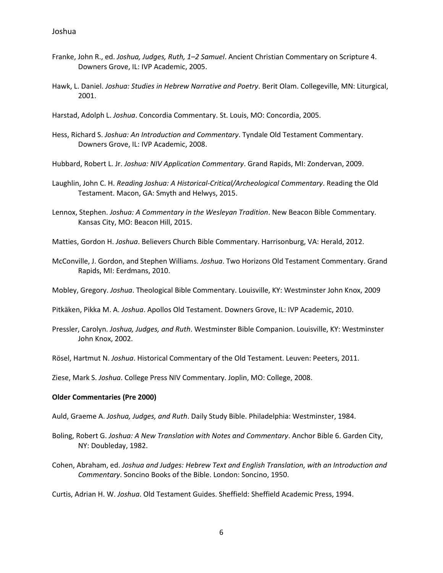- Franke, John R., ed. *Joshua, Judges, Ruth, 1–2 Samuel*. Ancient Christian Commentary on Scripture 4. Downers Grove, IL: IVP Academic, 2005.
- Hawk, L. Daniel. *Joshua: Studies in Hebrew Narrative and Poetry*. Berit Olam. Collegeville, MN: Liturgical, 2001.
- Harstad, Adolph L. *Joshua*. Concordia Commentary. St. Louis, MO: Concordia, 2005.
- Hess, Richard S. *Joshua: An Introduction and Commentary*. Tyndale Old Testament Commentary. Downers Grove, IL: IVP Academic, 2008.
- Hubbard, Robert L. Jr. *Joshua: NIV Application Commentary*. Grand Rapids, MI: Zondervan, 2009.
- Laughlin, John C. H. *Reading Joshua: A Historical-Critical/Archeological Commentary*. Reading the Old Testament. Macon, GA: Smyth and Helwys, 2015.
- Lennox, Stephen. *Joshua: A Commentary in the Wesleyan Tradition*. New Beacon Bible Commentary. Kansas City, MO: Beacon Hill, 2015.
- Matties, Gordon H. *Joshua*. Believers Church Bible Commentary. Harrisonburg, VA: Herald, 2012.
- McConville, J. Gordon, and Stephen Williams. *Joshua*. Two Horizons Old Testament Commentary. Grand Rapids, MI: Eerdmans, 2010.
- Mobley, Gregory. *Joshua*. Theological Bible Commentary. Louisville, KY: Westminster John Knox, 2009
- Pitkäken, Pikka M. A. *Joshua*. Apollos Old Testament. Downers Grove, IL: IVP Academic, 2010.
- Pressler, Carolyn. *Joshua, Judges, and Ruth*. Westminster Bible Companion. Louisville, KY: Westminster John Knox, 2002.
- Rösel, Hartmut N. *Joshua*. Historical Commentary of the Old Testament. Leuven: Peeters, 2011.

Ziese, Mark S. *Joshua*. College Press NIV Commentary. Joplin, MO: College, 2008.

#### **Older Commentaries (Pre 2000)**

Auld, Graeme A. *Joshua, Judges, and Ruth*. Daily Study Bible. Philadelphia: Westminster, 1984.

- Boling, Robert G. *Joshua: A New Translation with Notes and Commentary*. Anchor Bible 6. Garden City, NY: Doubleday, 1982.
- Cohen, Abraham, ed. *Joshua and Judges: Hebrew Text and English Translation, with an Introduction and Commentary*. Soncino Books of the Bible. London: Soncino, 1950.

Curtis, Adrian H. W. *Joshua*. Old Testament Guides. Sheffield: Sheffield Academic Press, 1994.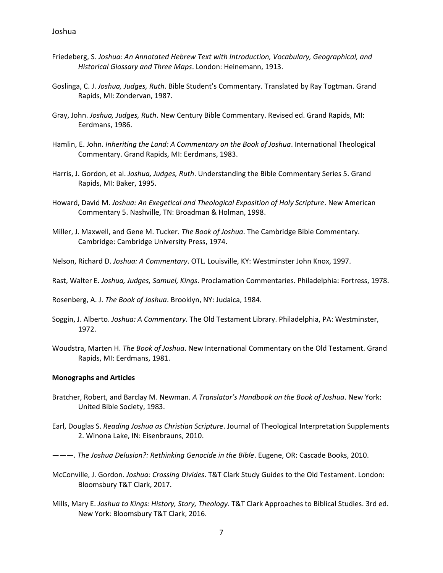- Friedeberg, S. *Joshua: An Annotated Hebrew Text with Introduction, Vocabulary, Geographical, and Historical Glossary and Three Maps*. London: Heinemann, 1913.
- Goslinga, C. J. *Joshua, Judges, Ruth*. Bible Student's Commentary. Translated by Ray Togtman. Grand Rapids, MI: Zondervan, 1987.
- Gray, John. *Joshua, Judges, Ruth*. New Century Bible Commentary. Revised ed. Grand Rapids, MI: Eerdmans, 1986.
- Hamlin, E. John. *Inheriting the Land: A Commentary on the Book of Joshua*. International Theological Commentary. Grand Rapids, MI: Eerdmans, 1983.
- Harris, J. Gordon, et al. *Joshua, Judges, Ruth*. Understanding the Bible Commentary Series 5. Grand Rapids, MI: Baker, 1995.
- Howard, David M. *Joshua: An Exegetical and Theological Exposition of Holy Scripture*. New American Commentary 5. Nashville, TN: Broadman & Holman, 1998.
- Miller, J. Maxwell, and Gene M. Tucker. *The Book of Joshua*. The Cambridge Bible Commentary. Cambridge: Cambridge University Press, 1974.
- Nelson, Richard D. *Joshua: A Commentary*. OTL. Louisville, KY: Westminster John Knox, 1997.
- Rast, Walter E. *Joshua, Judges, Samuel, Kings*. Proclamation Commentaries. Philadelphia: Fortress, 1978.

Rosenberg, A. J. *The Book of Joshua*. Brooklyn, NY: Judaica, 1984.

- Soggin, J. Alberto. *Joshua: A Commentary*. The Old Testament Library. Philadelphia, PA: Westminster, 1972.
- Woudstra, Marten H. *The Book of Joshua*. New International Commentary on the Old Testament. Grand Rapids, MI: Eerdmans, 1981.

#### **Monographs and Articles**

- Bratcher, Robert, and Barclay M. Newman. *A Translator's Handbook on the Book of Joshua*. New York: United Bible Society, 1983.
- Earl, Douglas S. *Reading Joshua as Christian Scripture*. Journal of Theological Interpretation Supplements 2. Winona Lake, IN: Eisenbrauns, 2010.
- ———. *The Joshua Delusion?: Rethinking Genocide in the Bible*. Eugene, OR: Cascade Books, 2010.
- McConville, J. Gordon. *Joshua: Crossing Divides*. T&T Clark Study Guides to the Old Testament. London: Bloomsbury T&T Clark, 2017.
- Mills, Mary E. *Joshua to Kings: History, Story, Theology*. T&T Clark Approaches to Biblical Studies. 3rd ed. New York: Bloomsbury T&T Clark, 2016.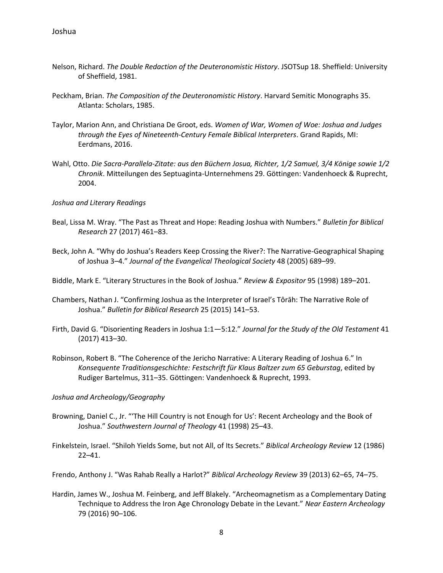- Nelson, Richard. *The Double Redaction of the Deuteronomistic History*. JSOTSup 18. Sheffield: University of Sheffield, 1981.
- Peckham, Brian. *The Composition of the Deuteronomistic History*. Harvard Semitic Monographs 35. Atlanta: Scholars, 1985.
- Taylor, Marion Ann, and Christiana De Groot, eds. *Women of War, Women of Woe: Joshua and Judges through the Eyes of Nineteenth-Century Female Biblical Interpreters*. Grand Rapids, MI: Eerdmans, 2016.
- Wahl, Otto. *Die Sacra-Parallela-Zitate: aus den Büchern Josua, Richter, 1/2 Samuel, 3/4 Könige sowie 1/2 Chronik*. Mitteilungen des Septuaginta-Unternehmens 29. Göttingen: Vandenhoeck & Ruprecht, 2004.
- *Joshua and Literary Readings*
- Beal, Lissa M. Wray. "The Past as Threat and Hope: Reading Joshua with Numbers." *Bulletin for Biblical Research* 27 (2017) 461–83.
- Beck, John A. "Why do Joshua's Readers Keep Crossing the River?: The Narrative-Geographical Shaping of Joshua 3–4." *Journal of the Evangelical Theological Society* 48 (2005) 689–99.

Biddle, Mark E. "Literary Structures in the Book of Joshua." *Review & Expositor* 95 (1998) 189–201.

- Chambers, Nathan J. "Confirming Joshua as the Interpreter of Israel's Tôrāh: The Narrative Role of Joshua." *Bulletin for Biblical Research* 25 (2015) 141–53.
- Firth, David G. "Disorienting Readers in Joshua 1:1—5:12." *Journal for the Study of the Old Testament* 41 (2017) 413–30.
- Robinson, Robert B. "The Coherence of the Jericho Narrative: A Literary Reading of Joshua 6." In *Konsequente Traditionsgeschichte: Festschrift für Klaus Baltzer zum 65 Geburstag*, edited by Rudiger Bartelmus, 311–35. Göttingen: Vandenhoeck & Ruprecht, 1993.
- *Joshua and Archeology/Geography*
- Browning, Daniel C., Jr. "'The Hill Country is not Enough for Us': Recent Archeology and the Book of Joshua." *Southwestern Journal of Theology* 41 (1998) 25–43.
- Finkelstein, Israel. "Shiloh Yields Some, but not All, of Its Secrets." *Biblical Archeology Review* 12 (1986) 22–41.

Frendo, Anthony J. "Was Rahab Really a Harlot?" *Biblical Archeology Review* 39 (2013) 62–65, 74–75.

Hardin, James W., Joshua M. Feinberg, and Jeff Blakely. "Archeomagnetism as a Complementary Dating Technique to Address the Iron Age Chronology Debate in the Levant." *Near Eastern Archeology* 79 (2016) 90–106.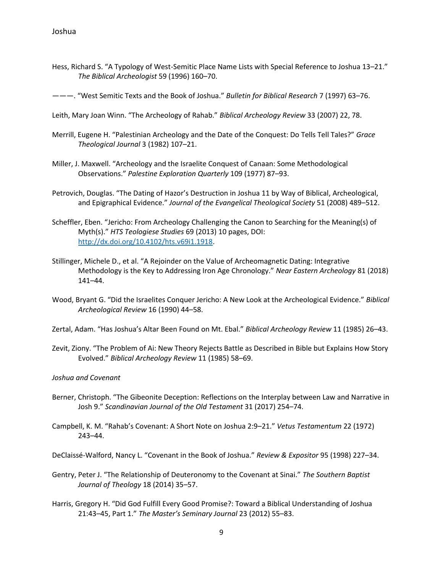Hess, Richard S. "A Typology of West-Semitic Place Name Lists with Special Reference to Joshua 13–21." *The Biblical Archeologist* 59 (1996) 160–70.

———. "West Semitic Texts and the Book of Joshua." *Bulletin for Biblical Research* 7 (1997) 63–76.

- Leith, Mary Joan Winn. "The Archeology of Rahab." *Biblical Archeology Review* 33 (2007) 22, 78.
- Merrill, Eugene H. "Palestinian Archeology and the Date of the Conquest: Do Tells Tell Tales?" *Grace Theological Journal* 3 (1982) 107–21.
- Miller, J. Maxwell. "Archeology and the Israelite Conquest of Canaan: Some Methodological Observations." *Palestine Exploration Quarterly* 109 (1977) 87–93.
- Petrovich, Douglas. "The Dating of Hazor's Destruction in Joshua 11 by Way of Biblical, Archeological, and Epigraphical Evidence." *Journal of the Evangelical Theological Society* 51 (2008) 489–512.
- Scheffler, Eben. "Jericho: From Archeology Challenging the Canon to Searching for the Meaning(s) of Myth(s)." *HTS Teologiese Studies* 69 (2013) 10 pages, DOI: [http://dx.doi.org/10.4102/hts.v69i1.1918.](http://dx.doi.org/10.4102/hts.v69i1.1918)
- Stillinger, Michele D., et al. "A Rejoinder on the Value of Archeomagnetic Dating: Integrative Methodology is the Key to Addressing Iron Age Chronology." *Near Eastern Archeology* 81 (2018) 141–44.
- Wood, Bryant G. "Did the Israelites Conquer Jericho: A New Look at the Archeological Evidence." *Biblical Archeological Review* 16 (1990) 44–58.
- Zertal, Adam. "Has Joshua's Altar Been Found on Mt. Ebal." *Biblical Archeology Review* 11 (1985) 26–43.
- Zevit, Ziony. "The Problem of Ai: New Theory Rejects Battle as Described in Bible but Explains How Story Evolved." *Biblical Archeology Review* 11 (1985) 58–69.

*Joshua and Covenant*

- Berner, Christoph. "The Gibeonite Deception: Reflections on the Interplay between Law and Narrative in Josh 9." *Scandinavian Journal of the Old Testament* 31 (2017) 254–74.
- Campbell, K. M. "Rahab's Covenant: A Short Note on Joshua 2:9–21." *Vetus Testamentum* 22 (1972) 243–44.

DeClaissé-Walford, Nancy L. "Covenant in the Book of Joshua." *Review & Expositor* 95 (1998) 227–34.

- Gentry, Peter J. "The Relationship of Deuteronomy to the Covenant at Sinai." *The Southern Baptist Journal of Theology* 18 (2014) 35–57.
- Harris, Gregory H. "Did God Fulfill Every Good Promise?: Toward a Biblical Understanding of Joshua 21:43–45, Part 1." *The Master's Seminary Journal* 23 (2012) 55–83.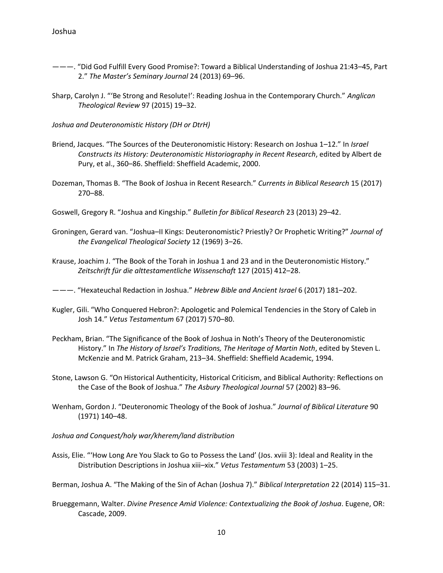- ———. "Did God Fulfill Every Good Promise?: Toward a Biblical Understanding of Joshua 21:43–45, Part 2." *The Master's Seminary Journal* 24 (2013) 69–96.
- Sharp, Carolyn J. "'Be Strong and Resolute!': Reading Joshua in the Contemporary Church." *Anglican Theological Review* 97 (2015) 19–32.
- *Joshua and Deuteronomistic History (DH or DtrH)*
- Briend, Jacques. "The Sources of the Deuteronomistic History: Research on Joshua 1–12." In *Israel Constructs its History: Deuteronomistic Historiography in Recent Research*, edited by Albert de Pury, et al., 360–86. Sheffield: Sheffield Academic, 2000.
- Dozeman, Thomas B. "The Book of Joshua in Recent Research." *Currents in Biblical Research* 15 (2017) 270–88.
- Goswell, Gregory R. "Joshua and Kingship." *Bulletin for Biblical Research* 23 (2013) 29–42.
- Groningen, Gerard van. "Joshua–II Kings: Deuteronomistic? Priestly? Or Prophetic Writing?" *Journal of the Evangelical Theological Society* 12 (1969) 3–26.
- Krause, Joachim J. "The Book of the Torah in Joshua 1 and 23 and in the Deuteronomistic History." *Zeitschrift für die alttestamentliche Wissenschaft* 127 (2015) 412–28.
- ———. "Hexateuchal Redaction in Joshua." *Hebrew Bible and Ancient Israel* 6 (2017) 181–202.
- Kugler, Gili. "Who Conquered Hebron?: Apologetic and Polemical Tendencies in the Story of Caleb in Josh 14." *Vetus Testamentum* 67 (2017) 570–80.
- Peckham, Brian. "The Significance of the Book of Joshua in Noth's Theory of the Deuteronomistic History." In *The History of Israel's Traditions, The Heritage of Martin Noth*, edited by Steven L. McKenzie and M. Patrick Graham, 213–34. Sheffield: Sheffield Academic, 1994.
- Stone, Lawson G. "On Historical Authenticity, Historical Criticism, and Biblical Authority: Reflections on the Case of the Book of Joshua." *The Asbury Theological Journal* 57 (2002) 83–96.
- Wenham, Gordon J. "Deuteronomic Theology of the Book of Joshua." *Journal of Biblical Literature* 90 (1971) 140–48.
- *Joshua and Conquest/holy war/kherem/land distribution*
- Assis, Elie. "'How Long Are You Slack to Go to Possess the Land' (Jos. xviii 3): Ideal and Reality in the Distribution Descriptions in Joshua xiii–xix." *Vetus Testamentum* 53 (2003) 1–25.
- Berman, Joshua A. "The Making of the Sin of Achan (Joshua 7)." *Biblical Interpretation* 22 (2014) 115–31.
- Brueggemann, Walter. *Divine Presence Amid Violence: Contextualizing the Book of Joshua*. Eugene, OR: Cascade, 2009.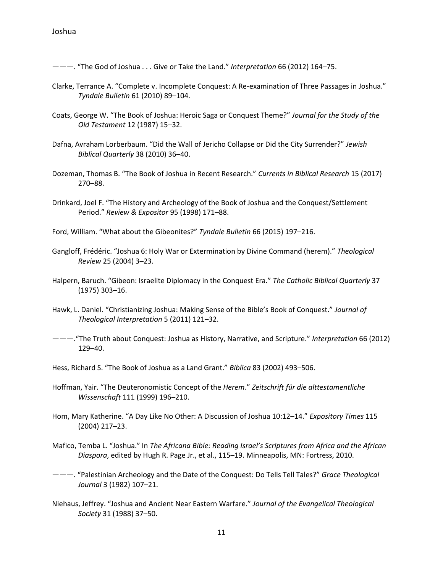———. "The God of Joshua . . . Give or Take the Land." *Interpretation* 66 (2012) 164–75.

- Clarke, Terrance A. "Complete v. Incomplete Conquest: A Re-examination of Three Passages in Joshua." *Tyndale Bulletin* 61 (2010) 89–104.
- Coats, George W. "The Book of Joshua: Heroic Saga or Conquest Theme?" *Journal for the Study of the Old Testament* 12 (1987) 15–32.
- Dafna, Avraham Lorberbaum. "Did the Wall of Jericho Collapse or Did the City Surrender?" *Jewish Biblical Quarterly* 38 (2010) 36–40.
- Dozeman, Thomas B. "The Book of Joshua in Recent Research." *Currents in Biblical Research* 15 (2017) 270–88.
- Drinkard, Joel F. "The History and Archeology of the Book of Joshua and the Conquest/Settlement Period." *Review & Expositor* 95 (1998) 171–88.
- Ford, William. "What about the Gibeonites?" *Tyndale Bulletin* 66 (2015) 197–216.
- Gangloff, Frédéric. "Joshua 6: Holy War or Extermination by Divine Command (herem)." *Theological Review* 25 (2004) 3–23.
- Halpern, Baruch. "Gibeon: Israelite Diplomacy in the Conquest Era." *The Catholic Biblical Quarterly* 37 (1975) 303–16.
- Hawk, L. Daniel. "Christianizing Joshua: Making Sense of the Bible's Book of Conquest." *Journal of Theological Interpretation* 5 (2011) 121–32.
- ———."The Truth about Conquest: Joshua as History, Narrative, and Scripture." *Interpretation* 66 (2012) 129–40.

Hess, Richard S. "The Book of Joshua as a Land Grant." *Biblica* 83 (2002) 493–506.

- Hoffman, Yair. "The Deuteronomistic Concept of the *Herem*." *Zeitschrift für die alttestamentliche Wissenschaft* 111 (1999) 196–210.
- Hom, Mary Katherine. "A Day Like No Other: A Discussion of Joshua 10:12–14." *Expository Times* 115 (2004) 217–23.
- Mafico, Temba L. "Joshua." In *The Africana Bible: Reading Israel's Scriptures from Africa and the African Diaspora*, edited by Hugh R. Page Jr., et al., 115–19. Minneapolis, MN: Fortress, 2010.
- ———. "Palestinian Archeology and the Date of the Conquest: Do Tells Tell Tales?" *Grace Theological Journal* 3 (1982) 107–21.
- Niehaus, Jeffrey. "Joshua and Ancient Near Eastern Warfare." *Journal of the Evangelical Theological Society* 31 (1988) 37–50.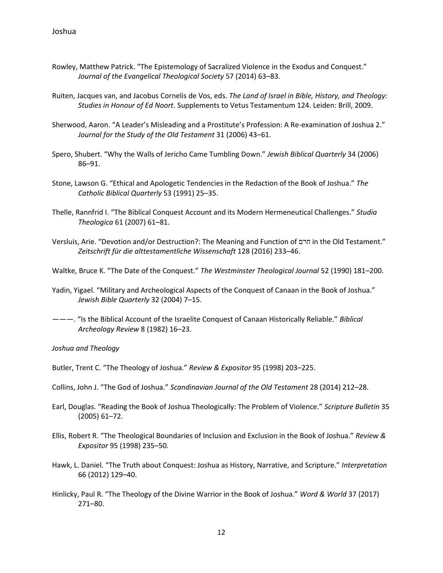- Rowley, Matthew Patrick. "The Epistemology of Sacralized Violence in the Exodus and Conquest." *Journal of the Evangelical Theological Society* 57 (2014) 63–83.
- Ruiten, Jacques van, and Jacobus Cornelis de Vos, eds. *The Land of Israel in Bible, History, and Theology: Studies in Honour of Ed Noort*. Supplements to Vetus Testamentum 124. Leiden: Brill, 2009.
- Sherwood, Aaron. "A Leader's Misleading and a Prostitute's Profession: A Re-examination of Joshua 2." *Journal for the Study of the Old Testament* 31 (2006) 43–61.
- Spero, Shubert. "Why the Walls of Jericho Came Tumbling Down." *Jewish Biblical Quarterly* 34 (2006) 86–91.
- Stone, Lawson G. "Ethical and Apologetic Tendencies in the Redaction of the Book of Joshua." *The Catholic Biblical Quarterly* 53 (1991) 25–35.
- Thelle, Rannfrid I. "The Biblical Conquest Account and its Modern Hermeneutical Challenges." *Studia Theologica* 61 (2007) 61–81.
- Versluis, Arie. "Devotion and/or Destruction?: The Meaning and Function of חרם in the Old Testament." *Zeitschrift für die alttestamentliche Wissenschaft* 128 (2016) 233–46.
- Waltke, Bruce K. "The Date of the Conquest." *The Westminster Theological Journal* 52 (1990) 181–200.
- Yadin, Yigael. "Military and Archeological Aspects of the Conquest of Canaan in the Book of Joshua." *Jewish Bible Quarterly* 32 (2004) 7–15.
- ———. "Is the Biblical Account of the Israelite Conquest of Canaan Historically Reliable." *Biblical Archeology Review* 8 (1982) 16–23.

*Joshua and Theology*

- Butler, Trent C. "The Theology of Joshua." *Review & Expositor* 95 (1998) 203–225.
- Collins, John J. "The God of Joshua." *Scandinavian Journal of the Old Testament* 28 (2014) 212–28.
- Earl, Douglas. "Reading the Book of Joshua Theologically: The Problem of Violence." *Scripture Bulletin* 35 (2005) 61–72.
- Ellis, Robert R. "The Theological Boundaries of Inclusion and Exclusion in the Book of Joshua." *Review & Expositor* 95 (1998) 235–50.
- Hawk, L. Daniel. "The Truth about Conquest: Joshua as History, Narrative, and Scripture." *Interpretation* 66 (2012) 129–40.
- Hinlicky, Paul R. "The Theology of the Divine Warrior in the Book of Joshua." *Word & World* 37 (2017) 271–80.